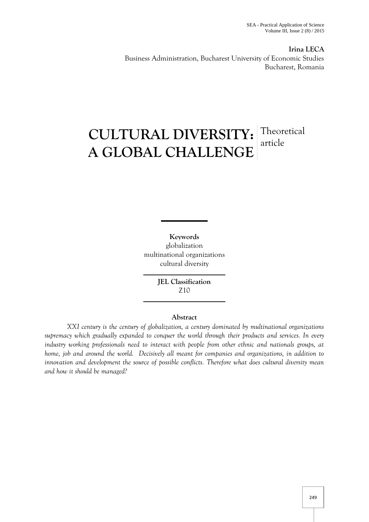**Irina LECA** Business Administration, Bucharest University of Economic Studies Bucharest, Romania

# **CULTURAL DIVERSITY:** Theoretical **A GLOBAL CHALLENGE** article

**Keywords** globalization multinational organizations cultural diversity

> **JEL Classification** Z10

## **Abstract**

*XXI century is the century of globalization, a century dominated by multinational organizations supremacy which gradually expanded to conquer the world through their products and services. In every industry working professionals need to interact with people from other ethnic and nationals groups, at home, job and around the world. Decisively all meant for companies and organizations, in addition to innovation and development the source of possible conflicts. Therefore what does cultural diversity mean and how it should be managed?*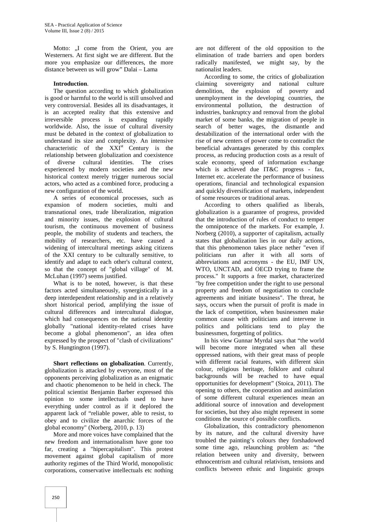Motto: "I come from the Orient, you are Westerners. At first sight we are different. But the more you emphasize our differences, the more distance between us will grow" Dalai – Lama

#### **Introduction**.

The question according to which globalization is good or harmful to the world is still unsolved and very controversial. Besides all its disadvantages, it is an accepted reality that this extensive and irreversible process is expanding rapidly worldwide. Also, the issue of cultural diversity must be debated in the context of globalization to understand its size and complexity. An intensive characteristic of the  $XXI<sup>st</sup>$  Century is the relationship between globalization and coexistence of diverse cultural identities. The crises experienced by modern societies and the new historical context merely trigger numerous social actors, who acted as a combined force, producing a new configuration of the world.

A series of economical processes, such as expansion of modern societies, multi and transnational ones, trade liberalization, migration and minority issues, the explosion of cultural tourism, the continuous movement of business people, the mobility of students and teachers, the mobility of researchers, etc. have caused a widening of intercultural meetings asking citizens of the XXI century to be culturally sensitive, to identify and adapt to each other's cultural context, so that the concept of "global village" of M. McLuhan (1997) seems justified.

What is to be noted, however, is that these factors acted simultaneously, synergistically in a deep interdependent relationship and in a relatively short historical period, amplifying the issue of cultural differences and intercultural dialogue, which had consequences on the national identity globally "national identity-related crises have become a global phenomenon", an idea often expressed by the prospect of "clash of civilizations" by S. Hungtington (1997).

**Short reflections on globalization**. Currently, globalization is attacked by everyone, most of the opponents perceiving globalization as an enigmatic and chaotic phenomenon to be held in check. The political scientist Benjamin Barber expressed this opinion to some intellectuals used to have everything under control as if it deplored the apparent lack of "reliable power, able to resist, to obey and to civilize the anarchic forces of the global economy" (Norberg, 2010, p. 13)

More and more voices have complained that the new freedom and internationalism have gone too far, creating a "hipercapitalism". This protest movement against global capitalism of more authority regimes of the Third World, monopolistic corporations, conservative intellectuals etc nothing

are not different of the old opposition to the elimination of trade barriers and open borders radically manifested, we might say, by the nationalist leaders.

According to some, the critics of globalization claiming sovereignty and national culture demolition, the explosion of poverty and unemployment in the developing countries, the environmental pollution, the destruction of industries, bankruptcy and removal from the global market of some banks, the migration of people in search of better wages, the dismantle and destabilization of the international order with the rise of new centers of power come to contradict the beneficial advantages generated by this complex process, as reducing production costs as a result of scale economy, speed of information exchange which is achieved due IT&C progress - fax, Internet etc. accelerate the performance of business operations, financial and technological expansion and quickly diversification of markets, independent of some resources or traditional areas.

According to others qualified as liberals, globalization is a guarantee of progress, provided that the introduction of rules of conduct to temper the omnipotence of the markets. For example, J. Norberg (2010), a supporter of capitalism, actually states that globalization lies in our daily actions, that this phenomenon takes place nether "even if politicians run after it with all sorts of abbreviations and acronyms - the EU, IMF UN, WTO, UNCTAD, and OECD trying to frame the process." It supports a free market, characterized "by free competition under the right to use personal property and freedom of negotiation to conclude agreements and initiate business". The threat, he says, occurs when the pursuit of profit is made in the lack of competition, when businessmen make common cause with politicians and intervene in politics and politicians tend to play the businessmen, forgetting of politics.

In his view Gunnar Myrdal says that "the world will become more integrated when all these oppressed nations, with their great mass of people with different racial features, with different skin colour, religious heritage, folklore and cultural backgrounds will be reached to have equal opportunities for development" (Stoica, 2011). The opening to others, the cooperation and assimilation of some different cultural experiences mean an additional source of innovation and development for societies, but they also might represent in some conditions the source of possible conflicts.

Globalization, this contradictory phenomenon by its nature, and the cultural diversity have troubled the painting's colours they forshadowed some time ago, relaunching problem as: "the relation between unity and diversity, between ethnocentrism and cultural relativism, tensions and conflicts between ethnic and linguistic groups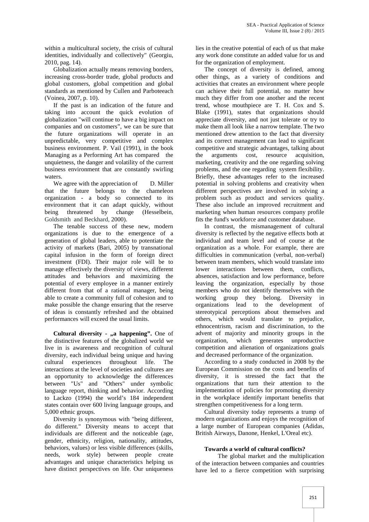within a multicultural society, the crisis of cultural identities, individually and collectively" (Georgiu, 2010, pag. 14).

Globalization actually means removing borders, increasing cross-border trade, global products and global customers, global competition and global standards as mentioned by Cullen and Parboteeach (Voinea, 2007, p. 10).

If the past is an indication of the future and taking into account the quick evolution of globalization "will continue to have a big impact on companies and on customers", we can be sure that the future organizations will operate in an unpredictable, very competitive and complex business environment. P. Vail (1991), in the book Managing as a Performing Art has compared the unquietness, the danger and volatility of the current business environment that are constantly swirling waters.

We agree with the appreciation of D. Miller that the future belongs to the chameleon organization -a body so connected to its environment that it can adapt quickly, without being threatened by change (Hesselbein, Goldsmith and Beckhard, 2000).

The tenable success of these new, modern organizations is due to the emergence of a generation of global leaders, able to potentiate the activity of markets (Bari, 2005) by transnational capital infusion in the form of foreign direct investment (FDI). Their major role will be to manage effectively the diversity of views, different attitudes and behaviors and maximizing the potential of every employee in a manner entirely different from that of a rational manager, being able to create a community full of cohesion and to make possible the change ensuring that the reserve of ideas is constantly refreshed and the obtained performances will exceed the usual limits.

**Cultural diversity - "a happening".** One of the distinctive features of the globalized world we live in is awareness and recognition of cultural diversity, each individual being unique and having cultural experiences throughout life. The interactions at the level of societies and cultures are an opportunity to acknowledge the differences between "Us" and "Others" under symbolic language report, thinking and behavior. According to Lackzo (1994) the world's 184 independent states contain over 600 living language groups, and 5,000 ethnic groups.

Diversity is synonymous with "being different, do different." Diversity means to accept that individuals are different and the noticeable (age, gender, ethnicity, religion, nationality, attitudes, behaviors, values) or less visible differences (skills, needs, work style) between people create advantages and unique characteristics helping us have distinct perspectives on life. Our uniqueness

lies in the creative potential of each of us that make any work done constitute an added value for us and for the organization of employment.

The concept of diversity is defined, among other things, as a variety of conditions and activities that creates an environment where people can achieve their full potential, no matter how much they differ from one another and the recent trend, whose mouthpiece are T. H. Cox and S. Blake (1991), states that organizations should appreciate diversity, and not just tolerate or try to make them all look like a narrow template. The two mentioned drew attention to the fact that diversity and its correct management can lead to significant competitive and strategic advantages, talking about the arguments cost, resource acquisition, marketing, creativity and the one regarding solving problems, and the one regarding system flexibility. Briefly, these advantages refer to the increased potential in solving problems and creativity when different perspectives are involved in solving a problem such as product and services quality. These also include an improved recruitment and marketing when human resources company profile fits the fund's workforce and customer database.

In contrast, the mismanagement of cultural diversity is reflected by the negative effects both at individual and team level and of course at the organization as a whole. For example, there are difficulties in communication (verbal, non-verbal) between team members, which would translate into lower interactions between them, conflicts, absences, satisfaction and low performance, before leaving the organization, especially by those members who do not identify themselves with the working group they belong. Diversity in organizations lead to the development of stereotypical perceptions about themselves and others, which would translate to prejudice, ethnocentrism, racism and discrimination, to the advent of majority and minority groups in the organization, which generates unproductive competition and alienation of organizations goals and decreased performance of the organization.

According to a study conducted in 2008 by the European Commission on the costs and benefits of diversity, it is stressed the fact that the organizations that turn their attention to the implementation of policies for promoting diversity in the workplace identify important benefits that strengthen competitiveness for a long term.

Cultural diversity today represents a trump of modern organizations and enjoys the recognition of a large number of European companies (Adidas, British Airways, Danone, Henkel, L'Oreal etc).

#### **Towards a world of cultural conflicts?**

The global market and the multiplication of the interaction between companies and countries have led to a fierce competition with surprising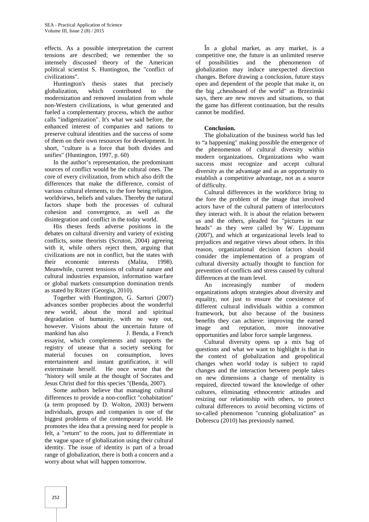effects. As a possible interpretation the current tensions are described; we remember the so intensely discussed theory of the American political scientist S. Huntington, the "conflict of civilizations".

Huntington's thesis states that precisely globalization, which contributed to the modernization and removed insulation from whole non-Western civilizations, is what generated and fueled a complementary process, which the author calls "indigenization". It's what we said before, the enhanced interest of companies and nations to preserve cultural identities and the success of some of them on their own resources for development. In short, "culture is a force that both divides and unifies" (Huntington, 1997, p. 60)

In the author's representation, the predominant sources of conflict would be the cultural ones. The core of every civilization, from which also drift the differences that make the difference, consist of various cultural elements, to the fore being religion, worldviews, beliefs and values. Thereby the natural factors shape both the processes of cultural cohesion and convergence, as well as the disintegration and conflict in the today world.

His theses feeds adverse positions in the debates on cultural diversity and variety of existing conflicts, some theorists (Scruton, 2004) agreeing with it, while others reject them, arguing that civilizations are not in conflict, but the states with their economic interests (Malita, 1998). Meanwhile, current tensions of cultural nature and cultural industries expansion, information warfare or global markets consumption domination trends as stated by Ritzer (Georgiu, 2010).

Together with Huntington, G. Sartori (2007) advances somber prophecies about the wonderful new world, about the moral and spiritual degradation of humanity, with no way out, however. Visions about the uncertain future of mankind has also J. Benda, a French essayist, which complements and supports the registry of unease that a society seeking for material focuses on consumption, loves entertainment and instant gratification, it will exterminate herself. He once wrote that the "history will smile at the thought of Socrates and Jesus Christ died for this species "(Benda, 2007).

Some authors believe that managing cultural differences to provide a non-conflict "cohabitation" (a term proposed by D. Wolton, 2003) between individuals, groups and companies is one of the biggest problems of the contemporary world. He promotes the idea that a pressing need for people is felt, a "return" to the roots, just to differentiate in the vague space of globalization using their cultural identity. The issue of identity is part of a broad range of globalization, there is both a concern and a worry about what will happen tomorrow.

În a global market, as any market, is a competitive one, the future is an unlimited reserve of possibilities and the phenomenon of globalization may induce unexpected direction changes. Before drawing a conclusion, future stays open and dependent of the people that make it, on the big "chessboard of the world" as Brzezinski says, there are new moves and situations, so that the game has different continuation, but the results cannot be modified.

### **Conclusion.**

The globalization of the business world has led to "a happening" making possible the emergence of the phenomenon of cultural diversity within modern organizations. Organizations who want success must recognize and accept cultural diversity as the advantage and as an opportunity to establish a competitive advantage, not as a source of difficulty.

Cultural differences in the workforce bring to the fore the problem of the image that involved actors have of the cultural pattern of interlocutors they interact with. It is about the relation between us and the others, pleaded for "pictures in our heads" as they were called by W. Lippmann (2007), and which at organizational levels lead to prejudices and negative views about others. In this reason, organizational decision factors should consider the implementation of a program of cultural diversity actually thought to function for prevention of conflicts and stress caused by cultural differences at the team level.

An increasingly number of modern organizations adopts strategies about diversity and equality, not just to ensure the coexistence of different cultural individuals within a common framework, but also because of the business benefits they can achieve: improving the earned image and reputation, more innovative opportunities and labor force sample largeness.

Cultural diversity opens up a mix bag of questions and what we want to highlight is that in the context of globalization and geopolitical changes when world today is subject to rapid changes and the interaction between people takes on new dimensions a change of mentality is required, directed toward the knowledge of other cultures, eliminating ethnocentric attitudes and resizing our relationship with others, to protect cultural differences to avoid becoming victims of so-called phenomenon "cunning globalization" as Dobrescu (2010) has previously named.